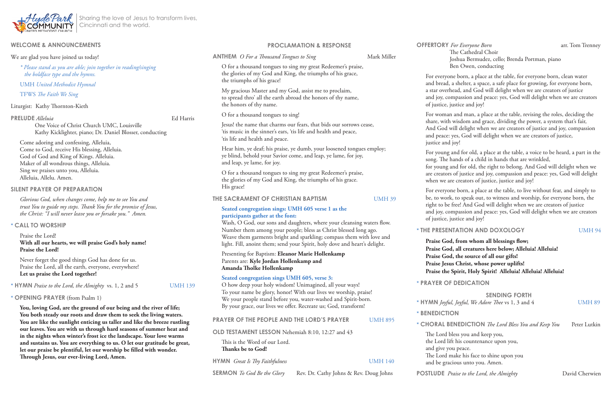

| <b>WELCOME &amp; ANNOUNCEMENTS</b><br>We are glad you have joined us today!                                                                                                                                                                                                                                                                                                                                                                       |                                                                                 | <b>PROCLAMATION &amp; RESPONSE</b>                                                                                                                                                                                                                                                                                                                                                                                   |                                                                                                                                                                                                                                              | <b>OFFERTORY</b> For Everyone Born<br>arr. Tom Trenney<br>The Cathedral Choir<br>Joshua Bermudez, cello; Brenda Portman, piano                                                                                                                                                                                                                                                                                                                                                                                                                        |                                                |  |
|---------------------------------------------------------------------------------------------------------------------------------------------------------------------------------------------------------------------------------------------------------------------------------------------------------------------------------------------------------------------------------------------------------------------------------------------------|---------------------------------------------------------------------------------|----------------------------------------------------------------------------------------------------------------------------------------------------------------------------------------------------------------------------------------------------------------------------------------------------------------------------------------------------------------------------------------------------------------------|----------------------------------------------------------------------------------------------------------------------------------------------------------------------------------------------------------------------------------------------|-------------------------------------------------------------------------------------------------------------------------------------------------------------------------------------------------------------------------------------------------------------------------------------------------------------------------------------------------------------------------------------------------------------------------------------------------------------------------------------------------------------------------------------------------------|------------------------------------------------|--|
|                                                                                                                                                                                                                                                                                                                                                                                                                                                   |                                                                                 | Mark Miller<br><b>ANTHEM</b> O For a Thousand Tongues to Sing                                                                                                                                                                                                                                                                                                                                                        |                                                                                                                                                                                                                                              |                                                                                                                                                                                                                                                                                                                                                                                                                                                                                                                                                       |                                                |  |
| * Please stand as you are able; join together in reading/singing<br>the boldface type and the hymns.                                                                                                                                                                                                                                                                                                                                              |                                                                                 | O for a thousand tongues to sing my great Redeemer's praise,<br>the glories of my God and King, the triumphs of his grace,                                                                                                                                                                                                                                                                                           |                                                                                                                                                                                                                                              | Ben Owen, conducting<br>For everyone born, a place at the table, for everyone born, clean water                                                                                                                                                                                                                                                                                                                                                                                                                                                       |                                                |  |
| <b>UMH</b> United Methodist Hymnal                                                                                                                                                                                                                                                                                                                                                                                                                |                                                                                 | the triumphs of his grace!                                                                                                                                                                                                                                                                                                                                                                                           |                                                                                                                                                                                                                                              | and bread, a shelter, a space, a safe place for growing, for everyone born,                                                                                                                                                                                                                                                                                                                                                                                                                                                                           |                                                |  |
| TFWS The Faith We Sing                                                                                                                                                                                                                                                                                                                                                                                                                            |                                                                                 | My gracious Master and my God, assist me to proclaim,<br>to spread thro' all the earth abroad the honors of thy name,                                                                                                                                                                                                                                                                                                |                                                                                                                                                                                                                                              | a star overhead, and God will delight when we are creators of justice<br>and joy, compassion and peace: yes, God will delight when we are creators                                                                                                                                                                                                                                                                                                                                                                                                    |                                                |  |
| Liturgist: Kathy Thornton-Kieth                                                                                                                                                                                                                                                                                                                                                                                                                   |                                                                                 | the honors of thy name.                                                                                                                                                                                                                                                                                                                                                                                              |                                                                                                                                                                                                                                              | of justice, justice and joy!                                                                                                                                                                                                                                                                                                                                                                                                                                                                                                                          |                                                |  |
| <b>PRELUDE</b> Alleluia                                                                                                                                                                                                                                                                                                                                                                                                                           | Ed Harris                                                                       | O for a thousand tongues to sing!                                                                                                                                                                                                                                                                                                                                                                                    |                                                                                                                                                                                                                                              | For woman and man, a place at the table, revising the roles, deciding the                                                                                                                                                                                                                                                                                                                                                                                                                                                                             |                                                |  |
| One Voice of Christ Church UMC, Louisville<br>Kathy Kicklighter, piano; Dr. Daniel Blosser, conducting                                                                                                                                                                                                                                                                                                                                            |                                                                                 | Jesus! the name that charms our fears, that bids our sorrows cease,<br>'tis music in the sinner's ears, 'tis life and health and peace,<br>'tis life and health and peace.<br>Hear him, ye deaf; his praise, ye dumb, your loosened tongues employ;<br>ye blind, behold your Savior come, and leap, ye lame, for joy,<br>and leap, ye lame, for joy.<br>O for a thousand tongues to sing my great Redeemer's praise, |                                                                                                                                                                                                                                              | share, with wisdom and grace, dividing the power, a system that's fair,<br>And God will delight when we are creators of justice and joy, compassion<br>and peace: yes, God will delight when we are creators of justice,<br>justice and joy!<br>For young and for old, a place at the table, a voice to be heard, a part in the<br>song. The hands of a child in hands that are wrinkled,<br>for young and for old, the right to belong. And God will delight when we<br>are creators of justice and joy, compassion and peace: yes, God will delight |                                                |  |
| Come adoring and confessing, Alleluia,<br>Come to God, receive His blessing, Alleluia.<br>God of God and King of Kings. Alleluia.<br>Maker of all wondrous things, Alleluia.<br>Sing we praises unto you, Alleluia.<br>Alleluia, Allelu. Amen.                                                                                                                                                                                                    |                                                                                 |                                                                                                                                                                                                                                                                                                                                                                                                                      |                                                                                                                                                                                                                                              |                                                                                                                                                                                                                                                                                                                                                                                                                                                                                                                                                       |                                                |  |
|                                                                                                                                                                                                                                                                                                                                                                                                                                                   |                                                                                 | the glories of my God and King, the triumphs of his grace.<br>His grace!                                                                                                                                                                                                                                                                                                                                             |                                                                                                                                                                                                                                              | when we are creators of justice, justice and joy!                                                                                                                                                                                                                                                                                                                                                                                                                                                                                                     |                                                |  |
| <b>SILENT PRAYER OF PREPARATION</b><br>Glorious God, when changes come, help me to see You and<br>trust You to guide my steps. Thank You for the promise of Jesus,<br>the Christ: "I will never leave you or forsake you." Amen.<br>* CALL TO WORSHIP                                                                                                                                                                                             |                                                                                 | THE SACRAMENT OF CHRISTIAN BAPTISM<br><b>UMH 39</b><br>Seated congregation sings: UMH 605 verse 1 as the<br>participants gather at the font:<br>Wash, O God, our sons and daughters, where your cleansing waters flow.                                                                                                                                                                                               |                                                                                                                                                                                                                                              | For everyone born, a place at the table, to live without fear, and simply to<br>be, to work, to speak out, to witness and worship, for everyone born, the<br>right to be free! And God will delight when we are creators of justice<br>and joy, compassion and peace: yes, God will delight when we are creators<br>of justice, justice and joy!                                                                                                                                                                                                      |                                                |  |
|                                                                                                                                                                                                                                                                                                                                                                                                                                                   |                                                                                 |                                                                                                                                                                                                                                                                                                                                                                                                                      |                                                                                                                                                                                                                                              |                                                                                                                                                                                                                                                                                                                                                                                                                                                                                                                                                       |                                                |  |
|                                                                                                                                                                                                                                                                                                                                                                                                                                                   |                                                                                 |                                                                                                                                                                                                                                                                                                                                                                                                                      |                                                                                                                                                                                                                                              | Praise the Lord!<br>With all our hearts, we will praise God's holy name!<br>Praise the Lord!                                                                                                                                                                                                                                                                                                                                                                                                                                                          | Let us praise the Lord together!               |  |
| Never forget the good things God has done for us.<br>Praise the Lord, all the earth, everyone, everywhere!                                                                                                                                                                                                                                                                                                                                        |                                                                                 |                                                                                                                                                                                                                                                                                                                                                                                                                      |                                                                                                                                                                                                                                              |                                                                                                                                                                                                                                                                                                                                                                                                                                                                                                                                                       |                                                |  |
|                                                                                                                                                                                                                                                                                                                                                                                                                                                   | <b>UMH 139</b><br>* HYMN <i>Praise to the Lord, the Almighty</i> vs. 1, 2 and 5 |                                                                                                                                                                                                                                                                                                                                                                                                                      | Seated congregation sings UMH 605, verse 3:<br>O how deep your holy wisdom! Unimagined, all your ways!<br>To your name be glory, honor! With our lives we worship, praise!<br>We your people stand before you, water-washed and Spirit-born. |                                                                                                                                                                                                                                                                                                                                                                                                                                                                                                                                                       | * PRAYER OF DEDICATION<br><b>SENDING FORTH</b> |  |
| * OPENING PRAYER (from Psalm 1)                                                                                                                                                                                                                                                                                                                                                                                                                   |                                                                                 |                                                                                                                                                                                                                                                                                                                                                                                                                      |                                                                                                                                                                                                                                              |                                                                                                                                                                                                                                                                                                                                                                                                                                                                                                                                                       |                                                |  |
| You, loving God, are the ground of our being and the river of life;<br>You both steady our roots and draw them to seek the living waters.<br>You are like the sunlight enticing us taller and like the breeze rustling<br>our leaves. You are with us through hard seasons of summer heat and<br>in the nights when winter's frost ice the landscape. Your love warms<br>and sustains us. You are everything to us. O let our gratitude be great, |                                                                                 | By your grace, our lives we offer. Recreate us; God, transform!                                                                                                                                                                                                                                                                                                                                                      |                                                                                                                                                                                                                                              | * HYMN Joyful, Joyful, We Adore Thee vs 1, 3 and 4<br><b>UMH 89</b>                                                                                                                                                                                                                                                                                                                                                                                                                                                                                   |                                                |  |
|                                                                                                                                                                                                                                                                                                                                                                                                                                                   |                                                                                 | <b>PRAYER OF THE PEOPLE AND THE LORD'S PRAYER</b><br><b>UMH 895</b>                                                                                                                                                                                                                                                                                                                                                  |                                                                                                                                                                                                                                              | * BENEDICTION                                                                                                                                                                                                                                                                                                                                                                                                                                                                                                                                         |                                                |  |
|                                                                                                                                                                                                                                                                                                                                                                                                                                                   |                                                                                 |                                                                                                                                                                                                                                                                                                                                                                                                                      | * CHORAL BENEDICTION The Lord Bless You and Keep You<br>Peter Lutkin<br>The Lord bless you and keep you,<br>the Lord lift his countenance upon you,<br>and give you peace.                                                                   |                                                                                                                                                                                                                                                                                                                                                                                                                                                                                                                                                       |                                                |  |
|                                                                                                                                                                                                                                                                                                                                                                                                                                                   |                                                                                 | OLD TESTAMENT LESSON Nehemiah 8:10, 12:27 and 43<br>This is the Word of our Lord.<br>Thanks be to God!                                                                                                                                                                                                                                                                                                               |                                                                                                                                                                                                                                              |                                                                                                                                                                                                                                                                                                                                                                                                                                                                                                                                                       |                                                |  |
| let our praise be plentiful, let our worship be filled with wonder.<br>Through Jesus, our ever-living Lord, Amen.                                                                                                                                                                                                                                                                                                                                 |                                                                                 | <b>HYMN</b> Great Is Thy Faithfulness                                                                                                                                                                                                                                                                                                                                                                                | <b>UMH 140</b>                                                                                                                                                                                                                               | The Lord make his face to shine upon you<br>and be gracious unto you. Amen.                                                                                                                                                                                                                                                                                                                                                                                                                                                                           |                                                |  |
|                                                                                                                                                                                                                                                                                                                                                                                                                                                   |                                                                                 | <b>SERMON</b> To God Be the Glory<br>Rev. Dr. Cathy Johns & Rev. Doug Johns                                                                                                                                                                                                                                                                                                                                          |                                                                                                                                                                                                                                              | <b>POSTLUDE</b> Praise to the Lord, the Almighty                                                                                                                                                                                                                                                                                                                                                                                                                                                                                                      | David Cherwien                                 |  |